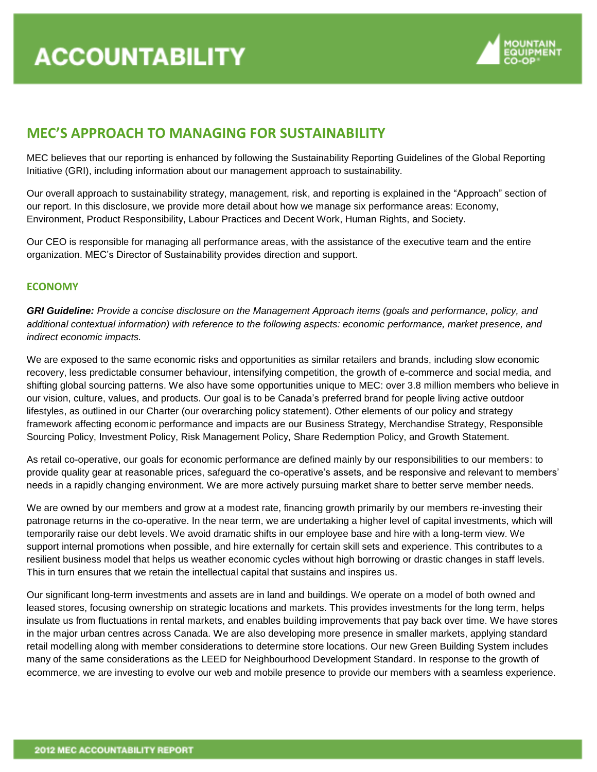

# **MEC'S APPROACH TO MANAGING FOR SUSTAINABILITY**

MEC believes that our reporting is enhanced by following the Sustainability Reporting Guidelines of the Global Reporting Initiative (GRI), including information about our management approach to sustainability.

Our overall approach to sustainability strategy, management, risk, and reporting is explained in the "Approach" section of our report. In this disclosure, we provide more detail about how we manage six performance areas: Economy, Environment, Product Responsibility, Labour Practices and Decent Work, Human Rights, and Society.

Our CEO is responsible for managing all performance areas, with the assistance of the executive team and the entire organization. MEC's Director of Sustainability provides direction and support.

## **ECONOMY**

*GRI Guideline: Provide a concise disclosure on the Management Approach items (goals and performance, policy, and additional contextual information) with reference to the following aspects: economic performance, market presence, and indirect economic impacts.*

We are exposed to the same economic risks and opportunities as similar retailers and brands, including slow economic recovery, less predictable consumer behaviour, intensifying competition, the growth of e-commerce and social media, and shifting global sourcing patterns. We also have some opportunities unique to MEC: over 3.8 million members who believe in our vision, culture, values, and products. Our goal is to be Canada's preferred brand for people living active outdoor lifestyles, as outlined in our Charter (our overarching policy statement). Other elements of our policy and strategy framework affecting economic performance and impacts are our Business Strategy, Merchandise Strategy, Responsible Sourcing Policy, Investment Policy, Risk Management Policy, Share Redemption Policy, and Growth Statement.

As retail co-operative, our goals for economic performance are defined mainly by our responsibilities to our members: to provide quality gear at reasonable prices, safeguard the co-operative's assets, and be responsive and relevant to members' needs in a rapidly changing environment. We are more actively pursuing market share to better serve member needs.

We are owned by our members and grow at a modest rate, financing growth primarily by our members re-investing their patronage returns in the co-operative. In the near term, we are undertaking a higher level of capital investments, which will temporarily raise our debt levels. We avoid dramatic shifts in our employee base and hire with a long-term view. We support internal promotions when possible, and hire externally for certain skill sets and experience. This contributes to a resilient business model that helps us weather economic cycles without high borrowing or drastic changes in staff levels. This in turn ensures that we retain the intellectual capital that sustains and inspires us.

Our significant long-term investments and assets are in land and buildings. We operate on a model of both owned and leased stores, focusing ownership on strategic locations and markets. This provides investments for the long term, helps insulate us from fluctuations in rental markets, and enables building improvements that pay back over time. We have stores in the major urban centres across Canada. We are also developing more presence in smaller markets, applying standard retail modelling along with member considerations to determine store locations. Our new Green Building System includes many of the same considerations as the LEED for Neighbourhood Development Standard. In response to the growth of ecommerce, we are investing to evolve our web and mobile presence to provide our members with a seamless experience.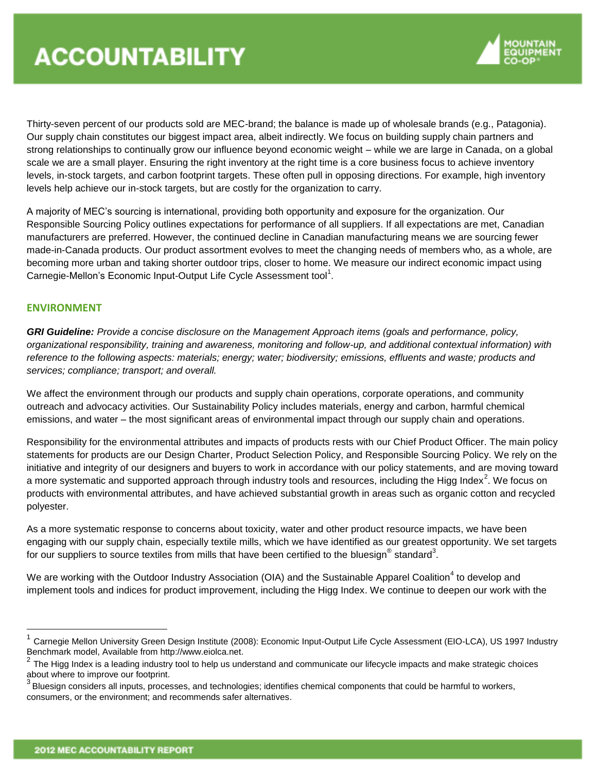

Thirty-seven percent of our products sold are MEC-brand; the balance is made up of wholesale brands (e.g., Patagonia). Our supply chain constitutes our biggest impact area, albeit indirectly. We focus on building supply chain partners and strong relationships to continually grow our influence beyond economic weight – while we are large in Canada, on a global scale we are a small player. Ensuring the right inventory at the right time is a core business focus to achieve inventory levels, in-stock targets, and carbon footprint targets. These often pull in opposing directions. For example, high inventory levels help achieve our in-stock targets, but are costly for the organization to carry.

A majority of MEC's sourcing is international, providing both opportunity and exposure for the organization. Our Responsible Sourcing Policy outlines expectations for performance of all suppliers. If all expectations are met, Canadian manufacturers are preferred. However, the continued decline in Canadian manufacturing means we are sourcing fewer made-in-Canada products. Our product assortment evolves to meet the changing needs of members who, as a whole, are becoming more urban and taking shorter outdoor trips, closer to home. We measure our indirect economic impact using Carnegie-Mellon's Economic Input-Output Life Cycle Assessment tool<sup>1</sup>.

## **ENVIRONMENT**

 $\overline{a}$ 

*GRI Guideline: Provide a concise disclosure on the Management Approach items (goals and performance, policy, organizational responsibility, training and awareness, monitoring and follow-up, and additional contextual information) with reference to the following aspects: materials; energy; water; biodiversity; emissions, effluents and waste; products and services; compliance; transport; and overall.*

We affect the environment through our products and supply chain operations, corporate operations, and community outreach and advocacy activities. Our Sustainability Policy includes materials, energy and carbon, harmful chemical emissions, and water – the most significant areas of environmental impact through our supply chain and operations.

Responsibility for the environmental attributes and impacts of products rests with our Chief Product Officer. The main policy statements for products are our Design Charter, Product Selection Policy, and Responsible Sourcing Policy. We rely on the initiative and integrity of our designers and buyers to work in accordance with our policy statements, and are moving toward a more systematic and supported approach through industry tools and resources, including the Higg Index<sup>2</sup>. We focus on products with environmental attributes, and have achieved substantial growth in areas such as organic cotton and recycled polyester.

As a more systematic response to concerns about toxicity, water and other product resource impacts, we have been engaging with our supply chain, especially textile mills, which we have identified as our greatest opportunity. We set targets for our suppliers to source textiles from mills that have been certified to the bluesign $^\circ$  standard $^3.$ 

We are working with the Outdoor Industry Association (OIA) and the Sustainable Apparel Coalition<sup>4</sup> to develop and implement tools and indices for product improvement, including the Higg Index. We continue to deepen our work with the

<sup>1</sup> Carnegie Mellon University Green Design Institute (2008): Economic Input-Output Life Cycle Assessment (EIO-LCA), US 1997 Industry Benchmark model, Available from http://www.eiolca.net.

 $^2$  The Higg Index is a leading industry tool to help us understand and communicate our lifecycle impacts and make strategic choices

about where to improve our footprint.<br><sup>3</sup> Bluesign considers all inputs, processes, and technologies; identifies chemical components that could be harmful to workers, consumers, or the environment; and recommends safer alternatives.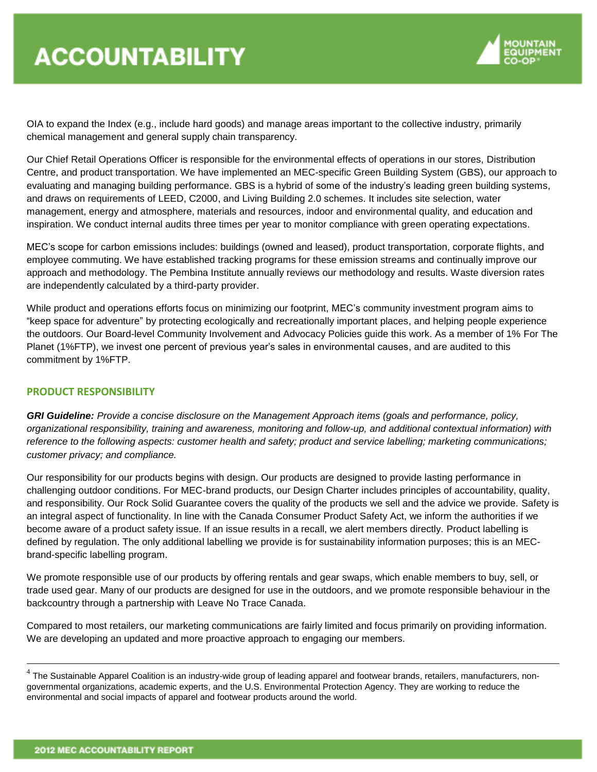

OIA to expand the Index (e.g., include hard goods) and manage areas important to the collective industry, primarily chemical management and general supply chain transparency.

Our Chief Retail Operations Officer is responsible for the environmental effects of operations in our stores, Distribution Centre, and product transportation. We have implemented an MEC-specific Green Building System (GBS), our approach to evaluating and managing building performance. GBS is a hybrid of some of the industry's leading green building systems, and draws on requirements of LEED, C2000, and Living Building 2.0 schemes. It includes site selection, water management, energy and atmosphere, materials and resources, indoor and environmental quality, and education and inspiration. We conduct internal audits three times per year to monitor compliance with green operating expectations.

MEC's scope for carbon emissions includes: buildings (owned and leased), product transportation, corporate flights, and employee commuting. We have established tracking programs for these emission streams and continually improve our approach and methodology. The Pembina Institute annually reviews our methodology and results. Waste diversion rates are independently calculated by a third-party provider.

While product and operations efforts focus on minimizing our footprint, MEC's community investment program aims to "keep space for adventure" by protecting ecologically and recreationally important places, and helping people experience the outdoors. Our Board-level Community Involvement and Advocacy Policies guide this work. As a member of 1% For The Planet (1%FTP), we invest one percent of previous year's sales in environmental causes, and are audited to this commitment by 1%FTP.

# **PRODUCT RESPONSIBILITY**

*GRI Guideline: Provide a concise disclosure on the Management Approach items (goals and performance, policy, organizational responsibility, training and awareness, monitoring and follow-up, and additional contextual information) with reference to the following aspects: customer health and safety; product and service labelling; marketing communications; customer privacy; and compliance.*

Our responsibility for our products begins with design. Our products are designed to provide lasting performance in challenging outdoor conditions. For MEC-brand products, our Design Charter includes principles of accountability, quality, and responsibility. Our Rock Solid Guarantee covers the quality of the products we sell and the advice we provide. Safety is an integral aspect of functionality. In line with the Canada Consumer Product Safety Act, we inform the authorities if we become aware of a product safety issue. If an issue results in a recall, we alert members directly. Product labelling is defined by regulation. The only additional labelling we provide is for sustainability information purposes; this is an MECbrand-specific labelling program.

We promote responsible use of our products by offering rentals and gear swaps, which enable members to buy, sell, or trade used gear. Many of our products are designed for use in the outdoors, and we promote responsible behaviour in the backcountry through a partnership with Leave No Trace Canada.

Compared to most retailers, our marketing communications are fairly limited and focus primarily on providing information. We are developing an updated and more proactive approach to engaging our members.

1

 $^4$  The Sustainable Apparel Coalition is an industry-wide group of leading apparel and footwear brands, retailers, manufacturers, nongovernmental organizations, academic experts, and the U.S. Environmental Protection Agency. They are working to reduce the environmental and social impacts of apparel and footwear products around the world.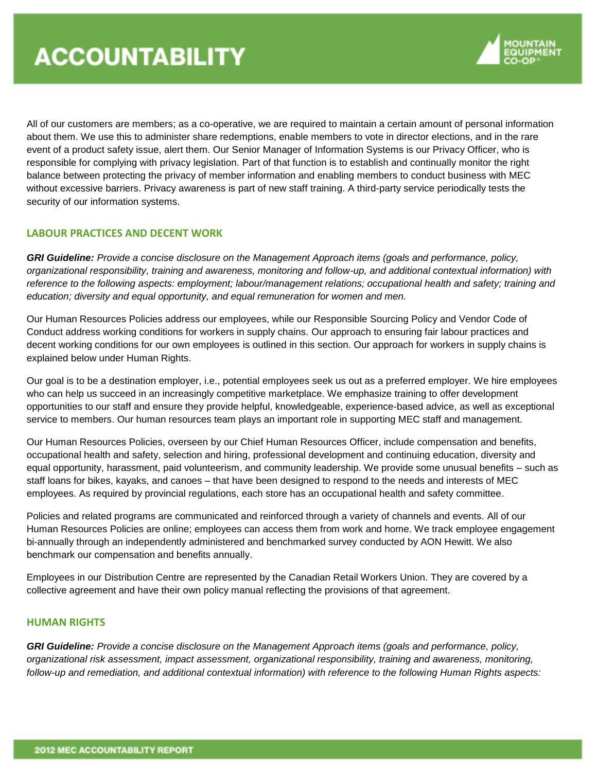

All of our customers are members; as a co-operative, we are required to maintain a certain amount of personal information about them. We use this to administer share redemptions, enable members to vote in director elections, and in the rare event of a product safety issue, alert them. Our Senior Manager of Information Systems is our Privacy Officer, who is responsible for complying with privacy legislation. Part of that function is to establish and continually monitor the right balance between protecting the privacy of member information and enabling members to conduct business with MEC without excessive barriers. Privacy awareness is part of new staff training. A third-party service periodically tests the security of our information systems.

#### **LABOUR PRACTICES AND DECENT WORK**

*GRI Guideline: Provide a concise disclosure on the Management Approach items (goals and performance, policy, organizational responsibility, training and awareness, monitoring and follow-up, and additional contextual information) with reference to the following aspects: employment; labour/management relations; occupational health and safety; training and education; diversity and equal opportunity, and equal remuneration for women and men.*

Our Human Resources Policies address our employees, while our Responsible Sourcing Policy and Vendor Code of Conduct address working conditions for workers in supply chains. Our approach to ensuring fair labour practices and decent working conditions for our own employees is outlined in this section. Our approach for workers in supply chains is explained below under Human Rights.

Our goal is to be a destination employer, i.e., potential employees seek us out as a preferred employer. We hire employees who can help us succeed in an increasingly competitive marketplace. We emphasize training to offer development opportunities to our staff and ensure they provide helpful, knowledgeable, experience-based advice, as well as exceptional service to members. Our human resources team plays an important role in supporting MEC staff and management.

Our Human Resources Policies, overseen by our Chief Human Resources Officer, include compensation and benefits, occupational health and safety, selection and hiring, professional development and continuing education, diversity and equal opportunity, harassment, paid volunteerism, and community leadership. We provide some unusual benefits – such as staff loans for bikes, kayaks, and canoes – that have been designed to respond to the needs and interests of MEC employees. As required by provincial regulations, each store has an occupational health and safety committee.

Policies and related programs are communicated and reinforced through a variety of channels and events. All of our Human Resources Policies are online; employees can access them from work and home. We track employee engagement bi-annually through an independently administered and benchmarked survey conducted by AON Hewitt. We also benchmark our compensation and benefits annually.

Employees in our Distribution Centre are represented by the Canadian Retail Workers Union. They are covered by a collective agreement and have their own policy manual reflecting the provisions of that agreement.

#### **HUMAN RIGHTS**

*GRI Guideline: Provide a concise disclosure on the Management Approach items (goals and performance, policy, organizational risk assessment, impact assessment, organizational responsibility, training and awareness, monitoring, follow-up and remediation, and additional contextual information) with reference to the following Human Rights aspects:*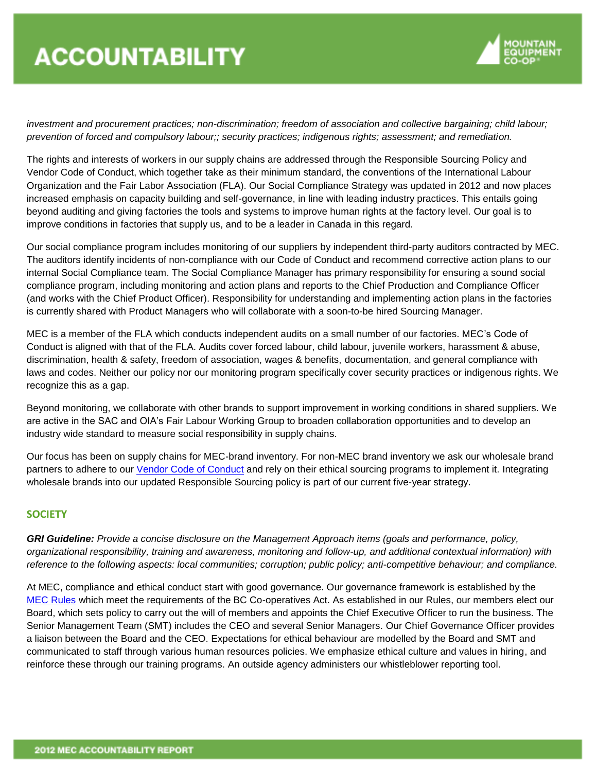

*investment and procurement practices; non-discrimination; freedom of association and collective bargaining; child labour; prevention of forced and compulsory labour;; security practices; indigenous rights; assessment; and remediation.*

The rights and interests of workers in our supply chains are addressed through the Responsible Sourcing Policy and Vendor Code of Conduct, which together take as their minimum standard, the conventions of the International Labour Organization and the Fair Labor Association (FLA). Our Social Compliance Strategy was updated in 2012 and now places increased emphasis on capacity building and self-governance, in line with leading industry practices. This entails going beyond auditing and giving factories the tools and systems to improve human rights at the factory level. Our goal is to improve conditions in factories that supply us, and to be a leader in Canada in this regard.

Our social compliance program includes monitoring of our suppliers by independent third-party auditors contracted by MEC. The auditors identify incidents of non-compliance with our Code of Conduct and recommend corrective action plans to our internal Social Compliance team. The Social Compliance Manager has primary responsibility for ensuring a sound social compliance program, including monitoring and action plans and reports to the Chief Production and Compliance Officer (and works with the Chief Product Officer). Responsibility for understanding and implementing action plans in the factories is currently shared with Product Managers who will collaborate with a soon-to-be hired Sourcing Manager.

MEC is a member of the FLA which conducts independent audits on a small number of our factories. MEC's Code of Conduct is aligned with that of the FLA. Audits cover forced labour, child labour, juvenile workers, harassment & abuse, discrimination, health & safety, freedom of association, wages & benefits, documentation, and general compliance with laws and codes. Neither our policy nor our monitoring program specifically cover security practices or indigenous rights. We recognize this as a gap.

Beyond monitoring, we collaborate with other brands to support improvement in working conditions in shared suppliers. We are active in the SAC and OIA's Fair Labour Working Group to broaden collaboration opportunities and to develop an industry wide standard to measure social responsibility in supply chains.

Our focus has been on supply chains for MEC-brand inventory. For non-MEC brand inventory we ask our wholesale brand partners to adhere to our [Vendor Code of Conduct](http://www.mec.ca/media/Images/pdf/MEC_Code_of_Conduct.pdf) and rely on their ethical sourcing programs to implement it. Integrating wholesale brands into our updated Responsible Sourcing policy is part of our current five-year strategy.

# **SOCIETY**

*GRI Guideline: Provide a concise disclosure on the Management Approach items (goals and performance, policy, organizational responsibility, training and awareness, monitoring and follow-up, and additional contextual information) with reference to the following aspects: local communities; corruption; public policy; anti-competitive behaviour; and compliance.*

At MEC, compliance and ethical conduct start with good governance. Our governance framework is established by the [MEC Rules](http://www.mec.ca/media/Images/pdf/MEC_rules_v1_m56577569831156144.pdf) which meet the requirements of the BC Co-operatives Act. As established in our Rules, our members elect our Board, which sets policy to carry out the will of members and appoints the Chief Executive Officer to run the business. The Senior Management Team (SMT) includes the CEO and several Senior Managers. Our Chief Governance Officer provides a liaison between the Board and the CEO. Expectations for ethical behaviour are modelled by the Board and SMT and communicated to staff through various human resources policies. We emphasize ethical culture and values in hiring, and reinforce these through our training programs. An outside agency administers our whistleblower reporting tool.